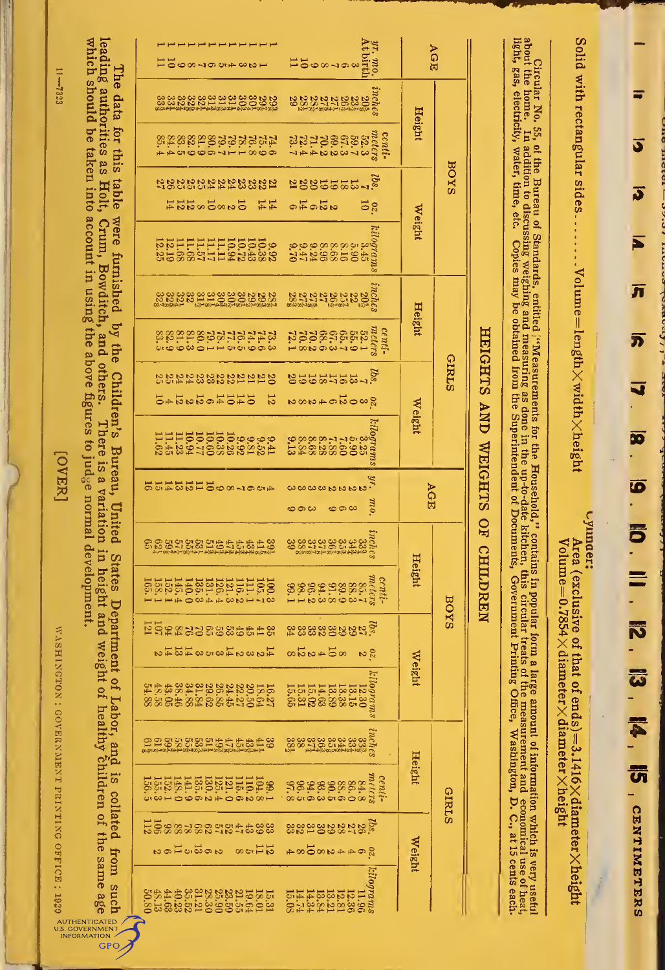$112.22$ 

2

5

 $\overline{\overline{n}}$  $\overline{\bm{v}}$ 8<br>8 

Solid with rectangular sides. . . . . . . . . . Volume=length $\times$ width $\times$ height

**Cymnder:** 

 $\rm Volum$ e $=$ 0.7854 $\times$ diameter $\times$ diameter $\times$ height Area (exclusive of that of ends)=3.1416 $\times$ diameter $\times$ height

Circular No. 55, of the Bureau of Standards, entitled '"Measurements for the Household," contains in popular form a large amount of information which is very useful about the home.<br>The bome, the addition to discussing weig

## HEIGHTS AND WEIGHTS OF CHILDREN

| 1999450014801                                                                                                                                                                                                                                                                                       | Enderwood<br>Enderwood                                                                                                                                                                                                                                                                                       | AGE                    |
|-----------------------------------------------------------------------------------------------------------------------------------------------------------------------------------------------------------------------------------------------------------------------------------------------------|--------------------------------------------------------------------------------------------------------------------------------------------------------------------------------------------------------------------------------------------------------------------------------------------------------------|------------------------|
|                                                                                                                                                                                                                                                                                                     | .<br>೧೮೮೮ ರ ನಮ್ಮ ನಂದಿ ನಂದಿ<br>೧೮೫ ರ ನಮ್ಮ ನಾಡಿ                                                                                                                                                                                                                                                                | Height                 |
| 社がおぼののいき 88888<br>- 1980 - 111769                                                                                                                                                                                                                                                                   | centera<br>England<br>Line                                                                                                                                                                                                                                                                                   |                        |
| <b>의엉얺얺젘젘젘</b> 먾먾먾먾<br>៑ដដូន័នដូដ<br>$\frac{14}{44}$                                                                                                                                                                                                                                                | $\tilde{\mathbb{S}}$ . Example $\mathbb{S}$ and<br>៰ដ៰ដ៰<br>$^{0.2}_{2.0}$                                                                                                                                                                                                                                   | BYOR                   |
| 93325111111131<br>8334311112882                                                                                                                                                                                                                                                                     | a io volo e della<br>A S I S S I A L<br>C                                                                                                                                                                                                                                                                    | Weight                 |
|                                                                                                                                                                                                                                                                                                     | $\frac{15}{22}$ $\frac{3}{22}$ $\frac{3}{22}$ $\frac{3}{22}$ $\frac{3}{22}$ $\frac{3}{22}$ $\frac{3}{22}$ $\frac{3}{22}$ $\frac{3}{22}$ $\frac{3}{22}$ $\frac{3}{22}$ $\frac{3}{22}$ $\frac{3}{22}$ $\frac{3}{22}$ $\frac{3}{22}$ $\frac{3}{22}$ $\frac{3}{22}$ $\frac{3}{22}$ $\frac{3}{22}$ $\frac{3}{22}$ | Height                 |
| 747777777778<br>3000000000000000                                                                                                                                                                                                                                                                    | centerion de la contrata<br>Escripto de la contrata<br>Escripto de la contrata                                                                                                                                                                                                                               |                        |
| 영업업업영영영업업명명<br>5454050545<br>5                                                                                                                                                                                                                                                                      | <b>Beballand</b><br>៷៰៰៷៷៰ឣ៓៰៷៰                                                                                                                                                                                                                                                                              | <b>GIRLS</b>           |
|                                                                                                                                                                                                                                                                                                     | ani-1-2000<br>2000 2000 21                                                                                                                                                                                                                                                                                   | Weigh                  |
| aroco de distrito                                                                                                                                                                                                                                                                                   | mo<br>ဖော္ပ<br>ဖေ ထ                                                                                                                                                                                                                                                                                          | AGE                    |
|                                                                                                                                                                                                                                                                                                     | ದ್ದ<br>ಜನ್ಮಾನಿ ಸ್ವಾಂದ್ರಗಳಲ್ಲಿ ರಾಗಿ ನಿರಿ<br>ಜನ್ಮಾನಿ ಸ್ವಾಂದ್ರಗಳಲ್ಲಿ ರಾಗಿ ನಿರಿ                                                                                                                                                                                                                                  |                        |
| 06:112522122222222<br>06:1122222222222222                                                                                                                                                                                                                                                           | cente<br><i>enterna sega de 28</i><br><i>enterna sega de 29</i><br><b>enterna de 29</b>                                                                                                                                                                                                                      | Heighl<br>BYSS         |
| sanssessen<br><b>ht a co co mo co mo mo mo mo</b>                                                                                                                                                                                                                                                   | $\infty$ $\frac{1}{2}$ $\approx$ $\frac{1}{2}$ $\approx$<br>58                                                                                                                                                                                                                                               |                        |
| 19252482313233334<br>20254382328484838                                                                                                                                                                                                                                                              |                                                                                                                                                                                                                                                                                                              | Weigh                  |
|                                                                                                                                                                                                                                                                                                     |                                                                                                                                                                                                                                                                                                              |                        |
| $\begin{array}{l} 99.1 \\ 204.8 \\ 205.9 \\ 1004.9 \\ 205.9 \\ 1122.9 \\ 123.9 \\ 136.9 \\ 148.9 \\ 159.9 \\ 169.9 \\ 169.9 \\ 179.9 \\ 189.9 \\ 199.9 \\ 199.9 \\ 199.9 \\ 199.9 \\ 199.9 \\ 199.9 \\ 199.9 \\ 199.9 \\ 199.9 \\ 199.9 \\ 199.9 \\ 199.9 \\ 199.9 \\ 199.9 \\ 199.9 \\ 199.9 \\ 1$ | $n$ crs<br>centi-<br>8888588555<br>86858555                                                                                                                                                                                                                                                                  | Height<br><b>GIRLS</b> |
| 33344326888865<br>ಸದ್ದಾ<br>៰៰៑៰៲ឨ៰៷                                                                                                                                                                                                                                                                 | <b>20202020202020</b><br>8044980084                                                                                                                                                                                                                                                                          | Weight                 |
|                                                                                                                                                                                                                                                                                                     | kilooran<br>11922223431<br>193824334                                                                                                                                                                                                                                                                         |                        |

 $\frac{1}{\text{lim}}$  as  $\begin{bmatrix} \text{min} & \text{min} \ \text{min} & \text{min} \ \text{sum} & \text{min} \ \text{sum} & \text{min} \ \text{sum} & \text{min} \ \text{sum} & \text{min} \ \text{sum} & \text{min} \ & \text{min} \ & \text{min} \ & \text{min} \ & \text{min} \ & \text{min} \ & \text{min} \ & \text{min} \ & \text{min} \ & \text{min} \ & \text{min} \ & \text{min} \ & \text{min} \ & \text{min} \ & \text{min} \ & \text{min} \ & \text{min} \ & \$ 

GPO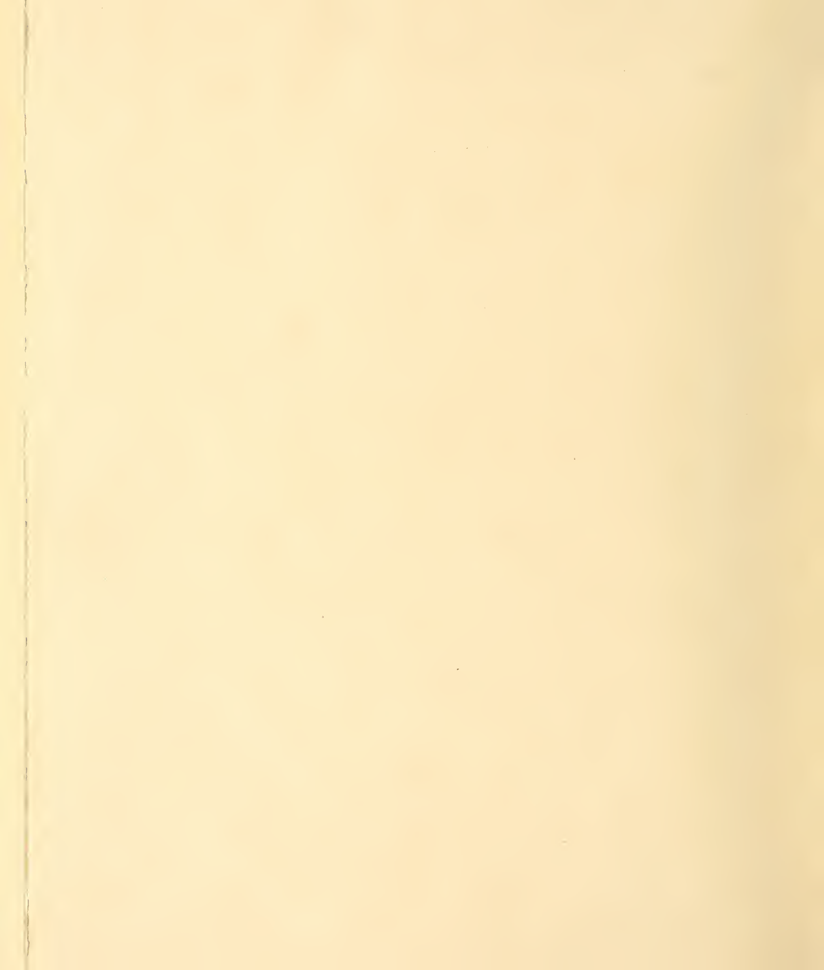$\mathcal{L}^{\text{max}}_{\text{max}}$  , where  $\mathcal{L}^{\text{max}}_{\text{max}}$ 

 $\label{eq:2} \mathcal{L} = \mathcal{L} \left( \mathcal{L} \right) \left( \mathcal{L} \right) \left( \mathcal{L} \right) \left( \mathcal{L} \right) \left( \mathcal{L} \right) \left( \mathcal{L} \right)$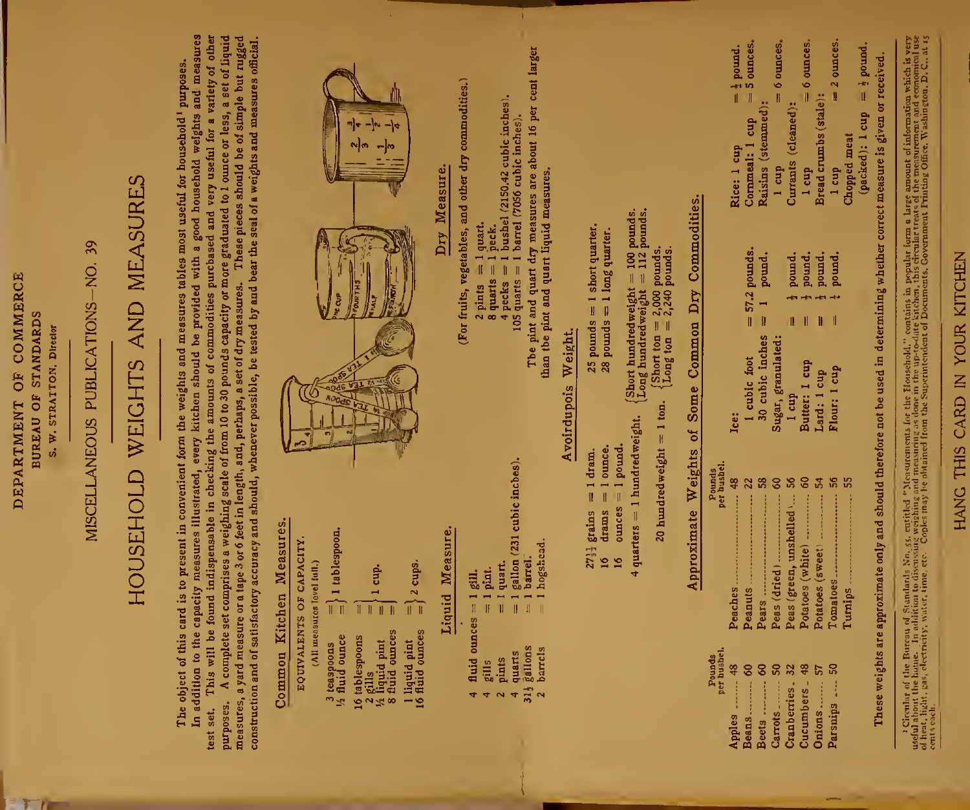### DEPARTMENT OF COMMERCE **BUREAU OF STANDARDS**

S. W. STRATTON, Director

### MISCELLANEOUS PUBLICATIONS-NO. 39

# HOUSEHOLD WEIGHTS AND MEASURES

In addition to the capacity measures illustrated, every kitchen should be provided with a good household weights and measures test set. This will be found indispensable in checking the amounts of commodities purcbased and very useful for a variety of other purposes. A complete set comprises a weighing scale of from 10 to 30 pounds capacity or more graduated to 1 ounce or less, a set of liquid measures, a yard measure or a tape 3 or 6 feet in length, and, perhaps, a set of dry measures. These pieces should be of simple but rugged<br>construction and of satisfactory accuracy and should, whenever possible, be tested The object of this card is to present in convenient form the weights and measures tables most useful for household<sup>1</sup> purposes.



# 1 Circulat of the Bureau of Standards No.5, errible! "Mesurements for the Hosesholt." contine in populat form a large amount of information which is very used a final line of the Bureau of the Bureau of the Bureau of the

HANG THIS CARD IN YOUR KITCHEN

These weights are approximate only and should therefore not be used in determining whether correct measure is given or received.

 $= 6$  ounces. 2 ounces.

Bread crumbs (stale):

1 cup

 $(\text{packed}): \text{l cup} = \frac{1}{2} \text{pound}.$ 

Chopped meat

1 cup

pound. pound. pound.

 $|| \cdot ||$  $\mathbf{I}$ 

Butter: 1 cup Flour: 1 cup Lard: 1 cup

 $\mathbf{S}$ 

Potatoes (white).

\$

Cucumbers\_ Parsnips ----

Potatoes (sweet)

Tomatoes.

 $58$ 

Onions...

Turnips

 $54$ ន្ល

55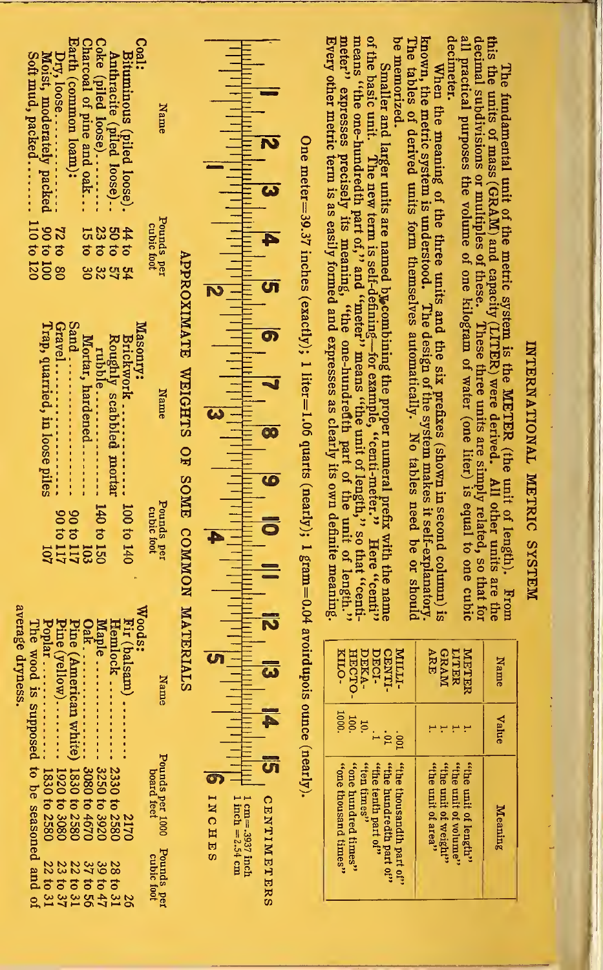## INTERNATIONAL METRIC SYSTEM

this the units of mass (GRAM) and capacity (LITER) were derived. All other units are the decimal subdivisions or multiples of these. These three units are simply related, so that for decimeter. all practical purposes the volume of one kilogram of water (one liter) is equal to one cubic The fundamental unit of the metric system is the METER (the unit of length). From

be memorized. known, the metric system is understood. The design of the system makes it self-explanatory. The tables of derived units form themselves automatically. No tables need be or should When the meaning of the three units and the six prefixes (shown in second column) is

meter" expresses precisely its meaning, "the one-hundredth part of the unit of length." means "the one-hundredth part of," and "meter" means "the unit of length," so that "centiof the basic unit. The new term is self-defining-for example, "centi-mefer." Here "centi" Every other metric term is as easily formed and expresses as clearly its own definite meaning Smaller and larger units are named by combining the proper numeral prefix with the name

| <b>MILLI1-</b><br>KILO-<br><b>CENTI-</b><br><b>HECTO</b><br>DECI-<br><b>EKA</b>                                                          | GRAM<br><b>ARE</b><br>NETRIA<br><b>LITER</b>                                               | Name    |
|------------------------------------------------------------------------------------------------------------------------------------------|--------------------------------------------------------------------------------------------|---------|
| 1000<br>100<br>10 <sup>-</sup><br>$100 -$<br>$\mathbf{5}$                                                                                |                                                                                            | Value   |
| "the thousandth part of"<br>"one thousand times"<br>"one hundred times"<br>"ten times"<br>"the hundredth part of"<br>"the tenth part of" | "the unit of length"<br>"the unit of area"<br>"the unit of weight"<br>"the unit of volume" | Meaning |

One meter=39.37 inches (exactly); 1 liter=1.06 quarts (nearly); 1 gram=0.04 avoirdupois ounce (nearly)



|                             |          | Earth (common loam): | Charcoal of pine and oak. | Coke (piled loose) |              | Bituminous (piled loose).<br>Anthracite (piled loose) | Coal: |            |
|-----------------------------|----------|----------------------|---------------------------|--------------------|--------------|-------------------------------------------------------|-------|------------|
| d 90 to 100<br>1 110 to 120 |          |                      | 23 to<br>15 to            |                    | <b>50 to</b> | 44 to                                                 |       | cubic toot |
|                             | 72 to 80 |                      | ဗွ                        | χg                 | 25           | $\frac{5}{4}$                                         |       |            |

Gravel................. Sand ............... Trap, quarried, in loose piles Mortar, hardened ....... Roughly scabbled mortar **rubble............** 140 to 150 20 10 117 90 to 117 **103** 101

| average dryness. | Poplar | Pine (yellow)                | Pine (American white) | <b>Oak</b><br>,,,,,,,,,,,,,,,,,, | Maple           | Hemlock      | Woods:<br>Fir (balsam) | Name                               |
|------------------|--------|------------------------------|-----------------------|----------------------------------|-----------------|--------------|------------------------|------------------------------------|
|                  |        | 1920 to 3080<br>1830 to 2580 | 1830<br>to 2580       | 3080<br>04670                    | 3250<br>10 3920 | 2330 to 2580 | 2170                   | Pounds per 1000<br>bounds per 1000 |
|                  |        |                              |                       |                                  |                 |              |                        | Pounds per<br>cubic foot           |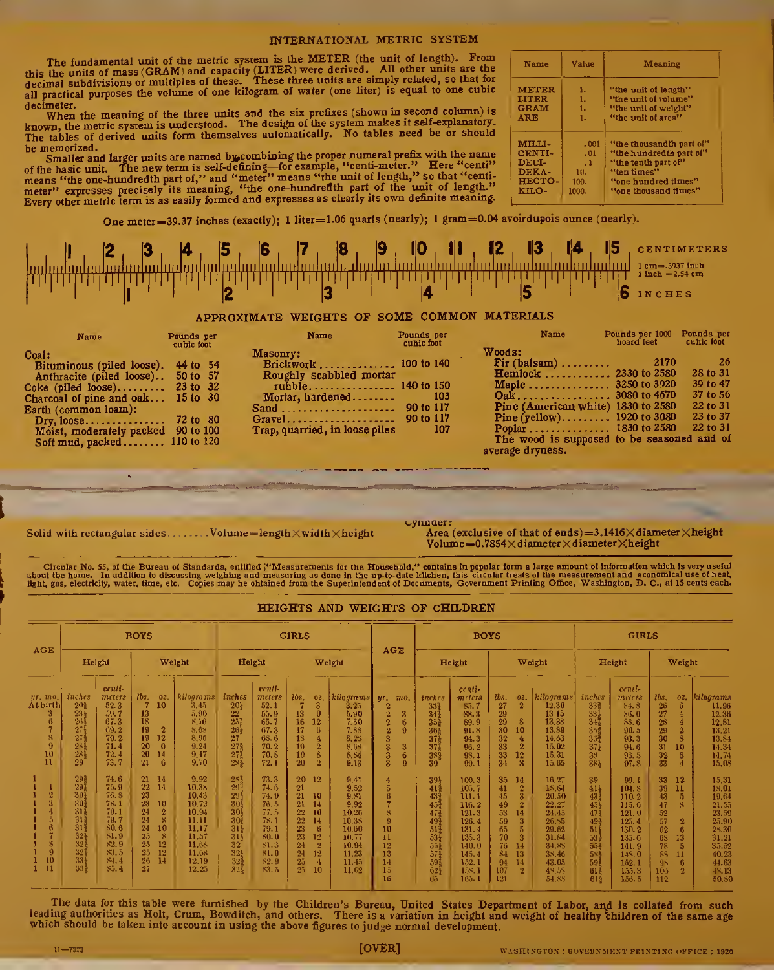### INTERNATIONAL METRIC SYSTEM

The fundamental unit of the metric system is the METER (the unit of length). From<br>this the units of mass (GRAM) and capacity (LITER) were derived. All other units are the<br>decimal subdivisions or multiples of these. These t decimeter.

When the meaning of the three units and the six prefixes (shown in second column) is<br>known, the metric system is understood. The design of the system makes it self-explanatory.<br>The tables of derived units form themselves a be memorized.

Smaller and larger units are named by combining the proper numeral prefix with the name of the basic unit. The new term is self-defining—for example, "centi-meter." Here "centi" means "the one-hundredth part of," and "mete meter" expresses precisely its meaning, "the one-hundreflith part of the unit of length." Every other metric term is as easily formed and expresses as clearly its own definite meaning.

One meter=39.37 inches (exactly); 1 liter=1.06 quarts (nearly); 1 gram=0.04 avoirdupois ounce (nearly).

|                                                                                                                                                                                                                                |                                                                                                                     | IO.                                                                                                                                                                               | н                                                                                                             |                                                                                                                                                                                                                            | $1 cm = .3937$ inch<br>$1$ inch $= 2.54$ cm<br><b>INCHES</b>                                                                                                                                                                                                   |
|--------------------------------------------------------------------------------------------------------------------------------------------------------------------------------------------------------------------------------|---------------------------------------------------------------------------------------------------------------------|-----------------------------------------------------------------------------------------------------------------------------------------------------------------------------------|---------------------------------------------------------------------------------------------------------------|----------------------------------------------------------------------------------------------------------------------------------------------------------------------------------------------------------------------------|----------------------------------------------------------------------------------------------------------------------------------------------------------------------------------------------------------------------------------------------------------------|
| <b>Name</b><br>Coal:<br>Bituminous (piled loose).<br>Anthracite (piled loose)<br>Coke (piled loose)<br>Charcoal of pine and oak<br>Earth (common loam):<br>$Drv, loose \ldots$<br>Moist, moderately packed<br>Soft mud, packed | Pounds per<br>cubic foot<br>44 to 54<br>50 to 57<br>$23$ to $32$<br>15 to 30<br>72 to 80<br>90 to 100<br>110 to 120 | WEIGHTS OF<br><b>APPROXIMATE</b><br>Name<br>Masonry:<br>Brickwork<br>Roughly scabbled mortar<br>ruhble 140 to 150<br>Mortar, hardened<br>Gravel<br>Trap, quarried, in loose piles | <b>SOME COMMON</b><br>Pounds per<br>cuhic foot<br>$\ldots$ 100 to 140<br>103<br>90 to 117<br>90 to 117<br>107 | <b>MATERIALS</b><br>Name<br>Woods:<br>$\text{Fix}$ (balsam)<br>$H$ emlock<br>Maple $\ldots$ $\ldots$ $\ldots$<br>Pine (American white) 1830 to 2580<br>Pine ( $\text{yellow}$ ) 1920 to 3080<br>Poplar<br>average dryness. | Pounds per<br>Pounds per 1000<br>cuhic foot<br>hoard feet<br>2170<br>-26<br>28 to 31<br>2330 to 2580<br>39 to 47<br>3250 to 3920<br>37 to 56<br>3080 to 4670<br>22 to 31<br>23 to 37<br>22 to 31<br>1830 to 2580<br>The wood is supposed to be seasoned and of |

Solid with rectangular sides.......Volume=length×width×height

Area (exclusive of that of ends)=3.1416×diameter×height Volume=0.7854×diameter×diameter×height

Circular No. 55, of the Bureau of Siandards, entitled "Measurements for the Household," contains in popular form a large amount of information which is very useful about the house of the up-to-date kitchen, this circular t

### HEIGHTS AND WEIGHTS OF CHILDREN

|                                                                               | <b>BOYS</b>                                                                                                                                                                                                                                                  |                                                                                                                                                                                   |                                                                                                                                     |                                                                                                                                 |                                                                                                                                                                                      | <b>GIRLS</b>                                                                                                                                                                                                                                     |                                                                                                                                                                                   |                                                                                                                                                            |                                                                                                                                                                                                   |                                                                                                                                                                                   |                                                                                                                                                     |                                                                                                       |                                                                                                                                                                                                                                       | <b>BOYS</b>                                                                                                                                                                                           |                                                                                                                                         |                                                                                                                                                                                |                                                                                                                                                                                                        |                                                                                                                                                                                                                     | <b>GIRLS</b>                                                                                                                                                                                                  |                                                                                                                                       |                                                                                                                                                                              |                                                                                                                                                                                                       |
|-------------------------------------------------------------------------------|--------------------------------------------------------------------------------------------------------------------------------------------------------------------------------------------------------------------------------------------------------------|-----------------------------------------------------------------------------------------------------------------------------------------------------------------------------------|-------------------------------------------------------------------------------------------------------------------------------------|---------------------------------------------------------------------------------------------------------------------------------|--------------------------------------------------------------------------------------------------------------------------------------------------------------------------------------|--------------------------------------------------------------------------------------------------------------------------------------------------------------------------------------------------------------------------------------------------|-----------------------------------------------------------------------------------------------------------------------------------------------------------------------------------|------------------------------------------------------------------------------------------------------------------------------------------------------------|---------------------------------------------------------------------------------------------------------------------------------------------------------------------------------------------------|-----------------------------------------------------------------------------------------------------------------------------------------------------------------------------------|-----------------------------------------------------------------------------------------------------------------------------------------------------|-------------------------------------------------------------------------------------------------------|---------------------------------------------------------------------------------------------------------------------------------------------------------------------------------------------------------------------------------------|-------------------------------------------------------------------------------------------------------------------------------------------------------------------------------------------------------|-----------------------------------------------------------------------------------------------------------------------------------------|--------------------------------------------------------------------------------------------------------------------------------------------------------------------------------|--------------------------------------------------------------------------------------------------------------------------------------------------------------------------------------------------------|---------------------------------------------------------------------------------------------------------------------------------------------------------------------------------------------------------------------|---------------------------------------------------------------------------------------------------------------------------------------------------------------------------------------------------------------|---------------------------------------------------------------------------------------------------------------------------------------|------------------------------------------------------------------------------------------------------------------------------------------------------------------------------|-------------------------------------------------------------------------------------------------------------------------------------------------------------------------------------------------------|
| AGE                                                                           | Helght                                                                                                                                                                                                                                                       |                                                                                                                                                                                   |                                                                                                                                     |                                                                                                                                 | Welght                                                                                                                                                                               |                                                                                                                                                                                                                                                  | Helght                                                                                                                                                                            |                                                                                                                                                            |                                                                                                                                                                                                   | Welght                                                                                                                                                                            |                                                                                                                                                     | AGE                                                                                                   |                                                                                                                                                                                                                                       | Helght                                                                                                                                                                                                |                                                                                                                                         |                                                                                                                                                                                | Weight                                                                                                                                                                                                 |                                                                                                                                                                                                                     | Height                                                                                                                                                                                                        |                                                                                                                                       | Weight                                                                                                                                                                       |                                                                                                                                                                                                       |
| $\frac{yr, mo}{At birth}$<br>10<br>$\mathbf{u}$<br>9<br>10<br>$\overline{11}$ | inches<br>20 <sub>1</sub><br>23)<br>26 <sub>1</sub><br>27<br>$27^{1}$<br>28<br>28 <sub>h</sub><br>29<br>293<br>29<br>30 <sup>1</sup><br>30<br>31<br>31<br>31 <sup>3</sup><br>32 <sub>1</sub><br>32 <sub>5</sub><br>321<br>$33\frac{1}{2}$<br>33 <sub>2</sub> | centi-<br>meters<br>52.3<br>59.7<br>67.3<br>69.2<br>70.2<br>71.4<br>72.4<br>73.7<br>74.6<br>75.9<br>76.8<br>78.1<br>70.1<br>79.7<br>80.6<br>81.9<br>\$2.9<br>83.5<br>84.4<br>85.4 | lbs.<br>13<br>18<br>19<br>19<br>20<br>20<br>21<br>21<br>$\overline{2}2$<br>23<br>23<br>24<br>24<br>24<br>25<br>25<br>25<br>26<br>27 | 02<br>10<br>12<br>$\Omega$<br>14<br>-6<br>14<br>14<br>10<br>$\overline{2}$<br>$\boldsymbol{\mathbf{x}}$<br>10<br>12<br>12<br>14 | kilograms<br>3,45<br>5.90<br>8,16<br>8.68<br>8.96<br>9.24<br>9,47<br>9,70<br>9.92<br>10.38<br>10.43<br>10.72<br>10.94<br>11.11<br>11.17<br>11.57<br>11.65<br>11.68<br>12.19<br>12.25 | inches<br>20 <sub>1</sub><br>22<br>2.57<br>$26\frac{1}{4}$<br>27<br>278<br>271<br>28율<br>$2 - 7$<br>292<br>291<br>30 <sub>3</sub><br>30 <sub>1</sub><br>301<br>$31\frac{7}{3}$<br>$31\bar{3}$<br>32<br>32}<br>32 <sub>1</sub><br>$32\frac{7}{3}$ | centi-<br>meters<br>52.1<br>55.9<br>65.7<br>67.3<br>68.6<br>70.2<br>70.8<br>72.1<br>73.3<br>74.6<br>74.9<br>76.5<br>77.5<br>7s. 1<br>79.1<br>80.0<br>81.3<br>81.9<br>82.9<br>83.5 | lbs.<br>13<br>16<br>18<br>19<br>19<br>20 <sup>2</sup><br>20<br>21<br>21<br>21<br>$22\,$<br>22<br>23<br>23<br>24<br>2 <sub>1</sub><br>25<br>25 <sub>1</sub> | OZ,<br>3<br>$\mathbf{0}$<br>$\overline{2}$<br>$\mathbf{2}$<br>8<br>$\bf{2}$<br>12<br>10<br>14<br>10 <sup>10</sup><br>14<br>$\mathfrak{a}$<br>12<br>$\overline{2}$<br>12<br>$\boldsymbol{A}$<br>10 | kilograms<br>3.25<br>5.90<br>7.60<br>7.88<br>8.25<br>8.68<br>8.84<br>9.13<br>9.41<br>9.52<br>9.81<br>9.92<br>10.26<br>10.38<br>10.60<br>10.77<br>10.94<br>11.23<br>11,45<br>11.62 | ur.<br>$\overline{2}$<br>$\overline{2}$<br>$\overline{2}$<br>$\overline{2}$<br>3<br>3<br>š<br>4<br>5<br>Ā<br>10<br>11<br>12<br>13<br>14<br>15<br>16 | m <sub>0</sub><br>$\overline{\mathbf{3}}$<br>$6\overline{6}$<br>$\Omega$<br>3<br>$6\phantom{1}$<br>ó, | inches<br>333<br>343<br>353<br>36 <sub>9</sub><br>$\frac{375}{375}$<br>39<br>391<br>$-41\frac{5}{2}$<br>433<br>45.<br>473<br>495<br>$51\frac{5}{2}$<br>$53\bar{2}$<br>$55\frac{7}{10}$<br>57 <sup>1</sup><br>593<br>$62\bar{1}$<br>65 | centi-<br>mcters<br>85.7<br>88.3<br>89.9<br>91.8<br>94.3<br>96.2<br>98.1<br>99.1<br>100.3<br>105.7<br>111.1<br>116.2<br>121.3<br>126.4<br>131.4<br>135.3<br>140.0<br>145.4<br>152.1<br>158.1<br>165.1 | $lbs$ .<br>27<br>29<br>29<br>30<br>32<br>33<br>33<br>34<br>35<br>41<br>45<br>49<br>53<br>59<br>65<br>70<br>76<br>84<br>94<br>107<br>121 | 02.<br>$\boldsymbol{2}$<br>8<br>10<br>4<br>$\overline{2}$<br>12<br>8<br>14<br>$\boldsymbol{2}$<br>3<br>$\overline{2}$<br>14<br>3<br>5<br>3<br>14<br>13<br>14<br>$\overline{2}$ | kilograms<br>12.30<br>13 15<br>13.38<br>13.89<br>14.63<br>15.02<br>15.31<br>15.65<br>16.27<br>18.64<br>20.50<br>22.27<br>24.45<br>26.85<br>29.62<br>31.84<br>34.88<br>38,46<br>43.05<br>48.58<br>54.88 | inches<br>331<br>331<br>340<br>35 <sub>8</sub><br>36 <sub>1</sub><br>$37\frac{1}{2}$<br>38<br>381<br>39<br>413<br>43 <sup>3</sup><br>45i<br>479<br>498<br>515<br>533<br>5.1<br>584<br>591<br>61 <sup>3</sup><br>619 | centi-<br>mcters<br>84.8<br><b>SG. 0</b><br>88.6<br>90.5<br>93.3<br>94.6<br>96.5<br>97.8<br>90.1<br>104. S<br>110.2<br>115.6<br>121.0<br>125.4<br>130.2<br>135.6<br>141.9<br>148.0<br>152.1<br>155.3<br>156.5 | lbs.<br>26<br>27<br>28<br>29<br>30<br>31<br>32<br>33<br>33<br>39<br>43<br>47<br>52<br>57<br>62<br>68<br>78<br>88<br>-98<br>106<br>112 | 02,<br>6<br>$\overline{2}$<br>8<br>10<br>$\mathbf{s}$<br>12<br>11<br>$\overline{5}$<br>$\mathbf{R}$<br>$\overline{2}$<br>$\mathbf{6}$<br>13<br>-5<br>11<br>6<br>$\mathbf{2}$ | kilogram:<br>11.96<br>12.36<br>12.81<br>13.21<br>13.84<br>14.34<br>11.74<br>15,08<br>15,31<br>18.01<br>19.64<br>21.57<br>23.59<br>25.90<br>28.30<br>31.21<br>35.52<br>40.23<br>44.63<br>48.13<br>50.8 |

The data for this table were furnished by the Children's Bureau, United States Department of Labor, and is collated from such leading authorities as Holt, Crum, Bowditch, and others. There is a variation in height and weight of healthy children of the same age which should be taken into account in using the above figures to judge normal development.

| 7323 |  |  |  |
|------|--|--|--|
|      |  |  |  |

 $\overline{11}$ 

 $[OVER]$ 

| Name        | Value     | Meaning                  |
|-------------|-----------|--------------------------|
| METER       | ı.        | "the unit of length"     |
| LITER       | 1.        | "the unit of volume"     |
| <b>GRAM</b> | 1.        | "the unit of welght"     |
| <b>ARE</b>  | 1.        | "the unit of area"       |
| MILLI-      | .001      | "the thousandth part of" |
| CENTI-      | .01       | "the hundredth part of"  |
| DECI-       | $\cdot$ 1 | "the tenth part of"      |
| DEKA-       | 10.       | "ten times"              |
| HECTO-      | 100.      | "one hundred times"      |
| KILO-       | 1000.     | "one thousand times"     |

cymuaer: